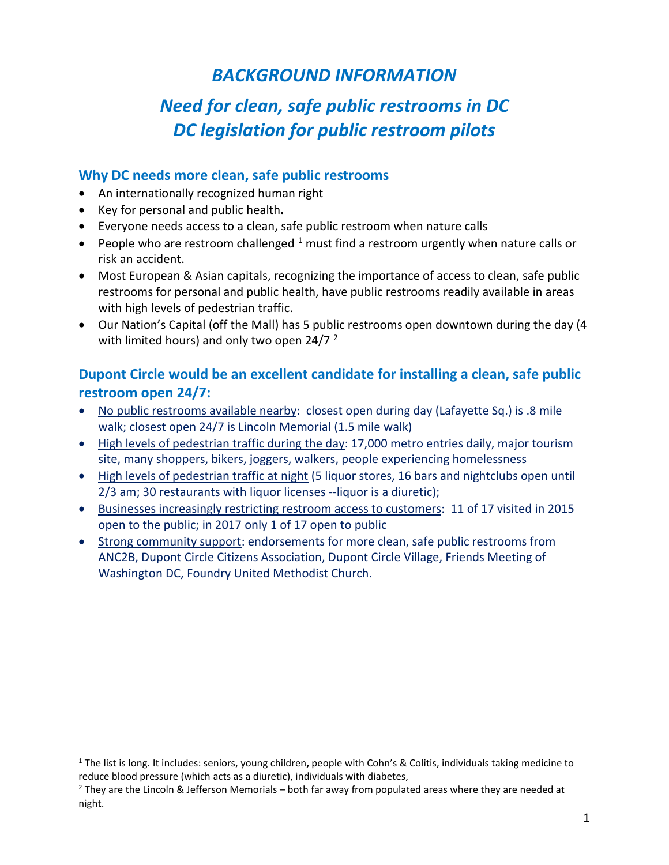# *BACKGROUND INFORMATION*

# *Need for clean, safe public restrooms in DC DC legislation for public restroom pilots*

### **Why DC needs more clean, safe public restrooms**

- An internationally recognized human right
- Key for personal and public health**.**
- Everyone needs access to a clean, safe public restroom when nature calls
- People who are restroom challenged  $1$  must find a restroom urgently when nature calls or risk an accident.
- Most European & Asian capitals, recognizing the importance of access to clean, safe public restrooms for personal and public health, have public restrooms readily available in areas with high levels of pedestrian traffic.
- Our Nation's Capital (off the Mall) has 5 public restrooms open downtown during the day (4 with limited hours) and only two open [2](#page-0-1)4/7  $^2$

# **Dupont Circle would be an excellent candidate for installing a clean, safe public restroom open 24/7:**

- No public restrooms available nearby: closest open during day (Lafayette Sq.) is .8 mile walk; closest open 24/7 is Lincoln Memorial (1.5 mile walk)
- High levels of pedestrian traffic during the day: 17,000 metro entries daily, major tourism site, many shoppers, bikers, joggers, walkers, people experiencing homelessness
- High levels of pedestrian traffic at night (5 liquor stores, 16 bars and nightclubs open until 2/3 am; 30 restaurants with liquor licenses --liquor is a diuretic);
- Businesses increasingly restricting restroom access to customers: 11 of 17 visited in 2015 open to the public; in 2017 only 1 of 17 open to public
- Strong community support: endorsements for more clean, safe public restrooms from ANC2B, Dupont Circle Citizens Association, Dupont Circle Village, Friends Meeting of Washington DC, Foundry United Methodist Church.

<span id="page-0-0"></span><sup>1</sup> The list is long. It includes: seniors, young children**,** people with Cohn's & Colitis, individuals taking medicine to reduce blood pressure (which acts as a diuretic), individuals with diabetes,

<span id="page-0-1"></span> $<sup>2</sup>$  They are the Lincoln & Jefferson Memorials – both far away from populated areas where they are needed at</sup> night.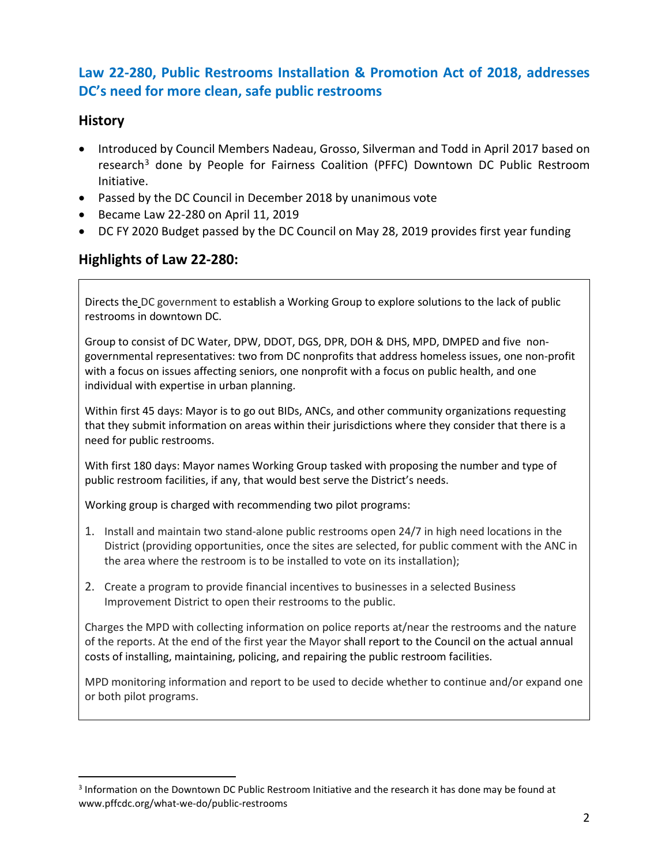# **Law 22-280, Public Restrooms Installation & Promotion Act of 2018, addresses DC's need for more clean, safe public restrooms**

### **History**

- Introduced by Council Members Nadeau, Grosso, Silverman and Todd in April 2017 based on research<sup>[3](#page-1-0)</sup> done by People for Fairness Coalition (PFFC) Downtown DC Public Restroom Initiative.
- Passed by the DC Council in December 2018 by unanimous vote
- Became Law 22-280 on April 11, 2019
- DC FY 2020 Budget passed by the DC Council on May 28, 2019 provides first year funding

### **Highlights of Law 22-280:**

Directs the DC government to establish a Working Group to explore solutions to the lack of public restrooms in downtown DC.

Group to consist of DC Water, DPW, DDOT, DGS, DPR, DOH & DHS, MPD, DMPED and five nongovernmental representatives: two from DC nonprofits that address homeless issues, one non-profit with a focus on issues affecting seniors, one nonprofit with a focus on public health, and one individual with expertise in urban planning.

Within first 45 days: Mayor is to go out BIDs, ANCs, and other community organizations requesting that they submit information on areas within their jurisdictions where they consider that there is a need for public restrooms.

With first 180 days: Mayor names Working Group tasked with proposing the number and type of public restroom facilities, if any, that would best serve the District's needs.

Working group is charged with recommending two pilot programs:

- 1. Install and maintain two stand-alone public restrooms open 24/7 in high need locations in the District (providing opportunities, once the sites are selected, for public comment with the ANC in the area where the restroom is to be installed to vote on its installation);
- 2. Create a program to provide financial incentives to businesses in a selected Business Improvement District to open their restrooms to the public.

Charges the MPD with collecting information on police reports at/near the restrooms and the nature of the reports. At the end of the first year the Mayor shall report to the Council on the actual annual costs of installing, maintaining, policing, and repairing the public restroom facilities.

MPD monitoring information and report to be used to decide whether to continue and/or expand one or both pilot programs.

<span id="page-1-0"></span><sup>3</sup> Information on the Downtown DC Public Restroom Initiative and the research it has done may be found at www.pffcdc.org/what-we-do/public-restrooms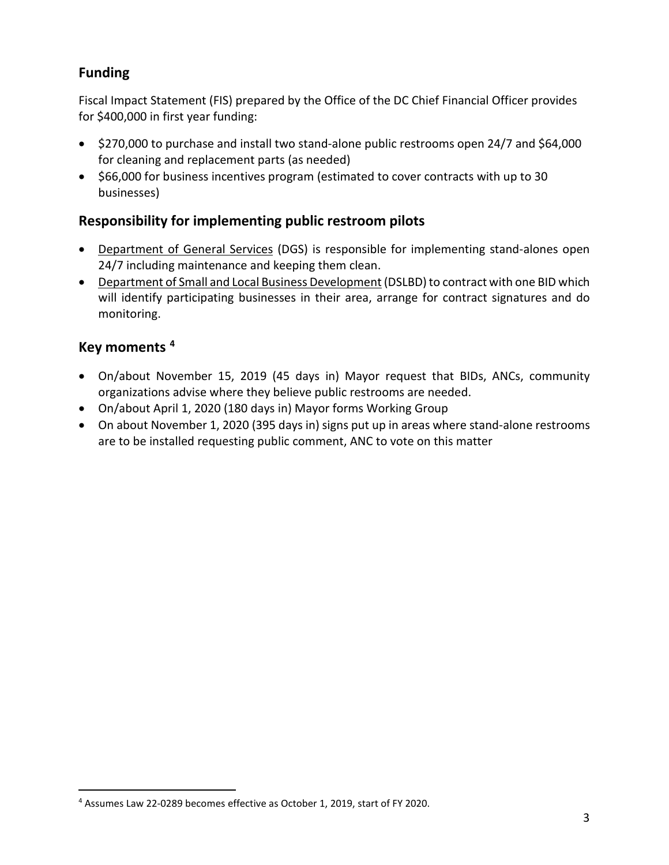## **Funding**

Fiscal Impact Statement (FIS) prepared by the Office of the DC Chief Financial Officer provides for \$400,000 in first year funding:

- \$270,000 to purchase and install two stand-alone public restrooms open 24/7 and \$64,000 for cleaning and replacement parts (as needed)
- \$66,000 for business incentives program (estimated to cover contracts with up to 30 businesses)

# **Responsibility for implementing public restroom pilots**

- Department of General Services (DGS) is responsible for implementing stand-alones open 24/7 including maintenance and keeping them clean.
- Department of Small and Local Business Development (DSLBD) to contract with one BID which will identify participating businesses in their area, arrange for contract signatures and do monitoring.

# **Key moments [4](#page-2-0)**

- On/about November 15, 2019 (45 days in) Mayor request that BIDs, ANCs, community organizations advise where they believe public restrooms are needed.
- On/about April 1, 2020 (180 days in) Mayor forms Working Group
- On about November 1, 2020 (395 days in) signs put up in areas where stand-alone restrooms are to be installed requesting public comment, ANC to vote on this matter

<span id="page-2-0"></span><sup>4</sup> Assumes Law 22-0289 becomes effective as October 1, 2019, start of FY 2020.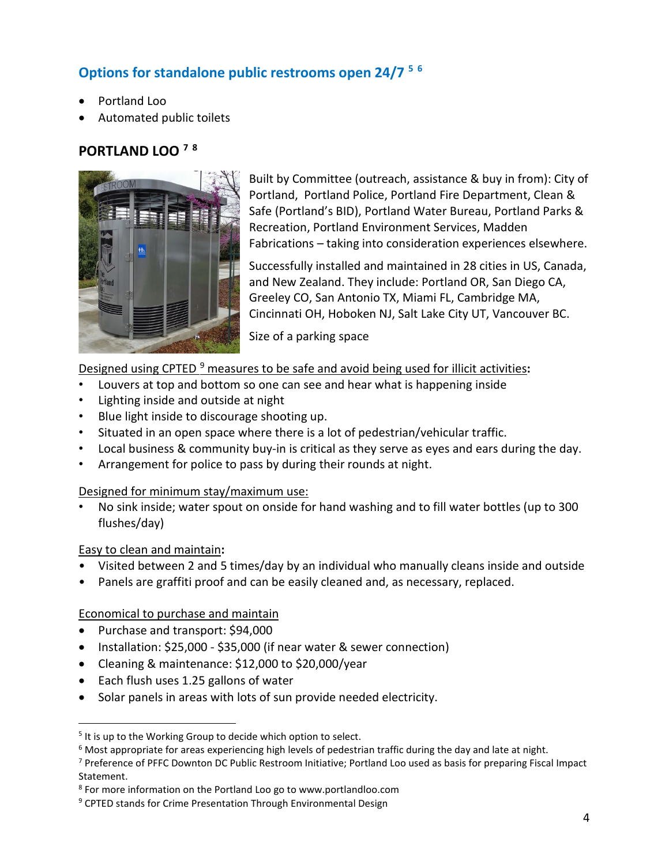# **Options for standalone public restrooms open 24/7 [5](#page-3-0) [6](#page-3-1)**

- Portland Loo
- Automated public toilets

### **PORTLAND LOO [7](#page-3-2) [8](#page-3-3)**



Built by Committee (outreach, assistance & buy in from): City of Portland, Portland Police, Portland Fire Department, Clean & Safe (Portland's BID), Portland Water Bureau, Portland Parks & Recreation, Portland Environment Services, Madden Fabrications – taking into consideration experiences elsewhere.

Successfully installed and maintained in 28 cities in US, Canada, and New Zealand. They include: Portland OR, San Diego CA, Greeley CO, San Antonio TX, Miami FL, Cambridge MA, Cincinnati OH, Hoboken NJ, Salt Lake City UT, Vancouver BC.

Size of a parking space

### Designed using CPTED [9](#page-3-4) measures to be safe and avoid being used for illicit activities**:**

- Louvers at top and bottom so one can see and hear what is happening inside
- Lighting inside and outside at night
- Blue light inside to discourage shooting up.
- Situated in an open space where there is a lot of pedestrian/vehicular traffic.
- Local business & community buy-in is critical as they serve as eyes and ears during the day.
- Arrangement for police to pass by during their rounds at night.

#### Designed for minimum stay/maximum use:

• No sink inside; water spout on onside for hand washing and to fill water bottles (up to 300 flushes/day)

### Easy to clean and maintain**:**

- Visited between 2 and 5 times/day by an individual who manually cleans inside and outside
- Panels are graffiti proof and can be easily cleaned and, as necessary, replaced.

### Economical to purchase and maintain

- Purchase and transport: \$94,000
- Installation: \$25,000 \$35,000 (if near water & sewer connection)
- Cleaning & maintenance: \$12,000 to \$20,000/year
- Each flush uses 1.25 gallons of water
- Solar panels in areas with lots of sun provide needed electricity.

<span id="page-3-0"></span><sup>&</sup>lt;sup>5</sup> It is up to the Working Group to decide which option to select.

<span id="page-3-1"></span> $6$  Most appropriate for areas experiencing high levels of pedestrian traffic during the day and late at night.

<span id="page-3-2"></span><sup>7</sup> Preference of PFFC Downton DC Public Restroom Initiative; Portland Loo used as basis for preparing Fiscal Impact Statement.

<span id="page-3-3"></span><sup>8</sup> For more information on the Portland Loo go to www.portlandloo.com

<span id="page-3-4"></span><sup>&</sup>lt;sup>9</sup> CPTED stands for Crime Presentation Through Environmental Design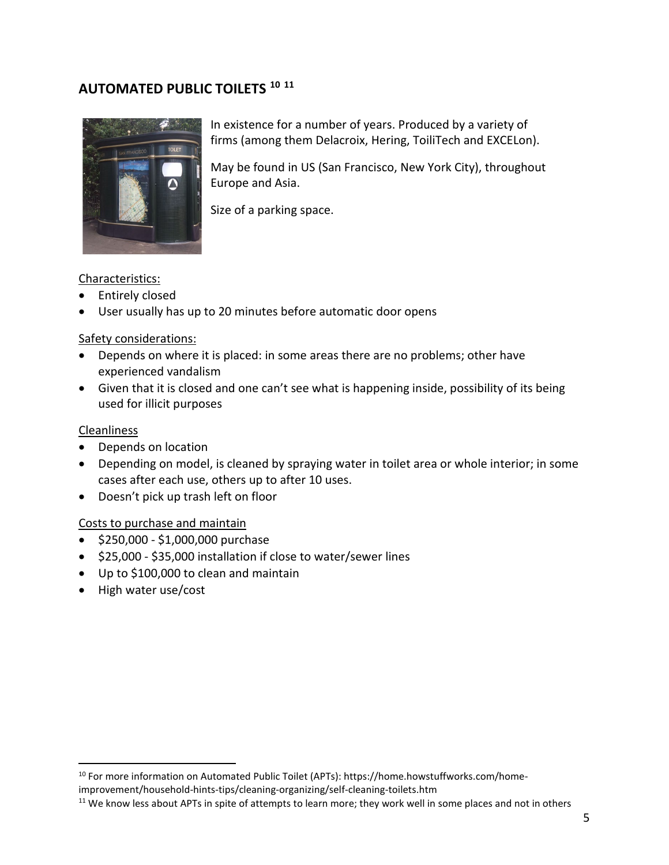### **AUTOMATED PUBLIC TOILETS [10](#page-4-0) [11](#page-4-1)**



In existence for a number of years. Produced by a variety of firms (among them Delacroix, Hering, ToiliTech and EXCELon).

May be found in US (San Francisco, New York City), throughout Europe and Asia.

Size of a parking space.

#### Characteristics:

- Entirely closed
- User usually has up to 20 minutes before automatic door opens

#### Safety considerations:

- Depends on where it is placed: in some areas there are no problems; other have experienced vandalism
- Given that it is closed and one can't see what is happening inside, possibility of its being used for illicit purposes

#### Cleanliness

- Depends on location
- Depending on model, is cleaned by spraying water in toilet area or whole interior; in some cases after each use, others up to after 10 uses.
- Doesn't pick up trash left on floor

### Costs to purchase and maintain

- \$250,000 \$1,000,000 purchase
- \$25,000 \$35,000 installation if close to water/sewer lines
- Up to \$100,000 to clean and maintain
- High water use/cost

<span id="page-4-0"></span><sup>10</sup> For more information on Automated Public Toilet (APTs): https://home.howstuffworks.com/home-

improvement/household-hints-tips/cleaning-organizing/self-cleaning-toilets.htm

<span id="page-4-1"></span><sup>&</sup>lt;sup>11</sup> We know less about APTs in spite of attempts to learn more; they work well in some places and not in others